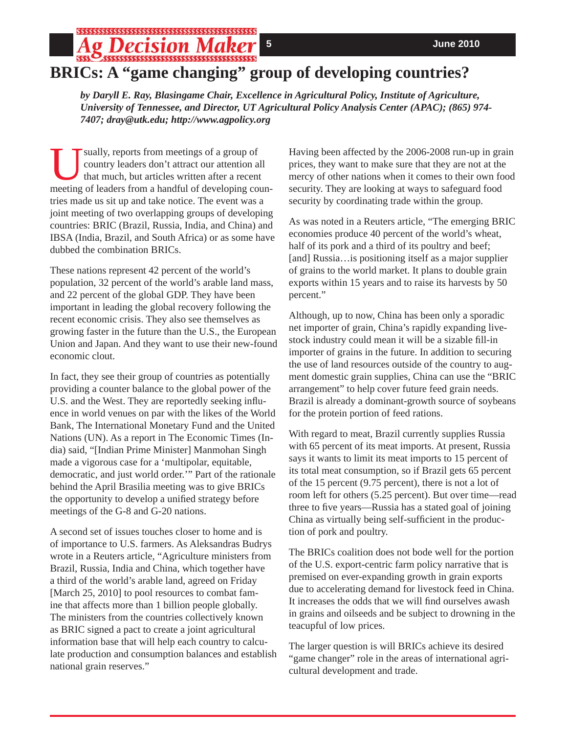## **5****June 2010 BRICs: A "game changing" group of developing countries?**

*by Daryll E. Ray, Blasingame Chair, Excellence in Agricultural Policy, Institute of Agriculture, University of Tennessee, and Director, UT Agricultural Policy Analysis Center (APAC); (865) 974- 7407; dray@utk.edu; http://www.agpolicy.org*

Sually, reports from meetings of a group of<br>country leaders don't attract our attention as<br>that much, but articles written after a recent<br>meeting of looders from a bandful of doveloping con country leaders don't attract our attention all that much, but articles written after a recent meeting of leaders from a handful of developing countries made us sit up and take notice. The event was a joint meeting of two overlapping groups of developing countries: BRIC (Brazil, Russia, India, and China) and IBSA (India, Brazil, and South Africa) or as some have dubbed the combination BRICs.

These nations represent 42 percent of the world's population, 32 percent of the world's arable land mass, and 22 percent of the global GDP. They have been important in leading the global recovery following the recent economic crisis. They also see themselves as growing faster in the future than the U.S., the European Union and Japan. And they want to use their new-found economic clout.

In fact, they see their group of countries as potentially providing a counter balance to the global power of the U.S. and the West. They are reportedly seeking influence in world venues on par with the likes of the World Bank, The International Monetary Fund and the United Nations (UN). As a report in The Economic Times (India) said, "[Indian Prime Minister] Manmohan Singh made a vigorous case for a 'multipolar, equitable, democratic, and just world order.'" Part of the rationale behind the April Brasilia meeting was to give BRICs the opportunity to develop a unified strategy before meetings of the G-8 and G-20 nations.

A second set of issues touches closer to home and is of importance to U.S. farmers. As Aleksandras Budrys wrote in a Reuters article, "Agriculture ministers from Brazil, Russia, India and China, which together have a third of the world's arable land, agreed on Friday [March 25, 2010] to pool resources to combat famine that affects more than 1 billion people globally. The ministers from the countries collectively known as BRIC signed a pact to create a joint agricultural information base that will help each country to calculate production and consumption balances and establish national grain reserves."

Having been affected by the 2006-2008 run-up in grain prices, they want to make sure that they are not at the mercy of other nations when it comes to their own food security. They are looking at ways to safeguard food security by coordinating trade within the group.

As was noted in a Reuters article, "The emerging BRIC economies produce 40 percent of the world's wheat, half of its pork and a third of its poultry and beef; [and] Russia…is positioning itself as a major supplier of grains to the world market. It plans to double grain exports within 15 years and to raise its harvests by 50 percent."

Although, up to now, China has been only a sporadic net importer of grain, China's rapidly expanding livestock industry could mean it will be a sizable fill-in importer of grains in the future. In addition to securing the use of land resources outside of the country to augment domestic grain supplies, China can use the "BRIC arrangement" to help cover future feed grain needs. Brazil is already a dominant-growth source of soybeans for the protein portion of feed rations.

With regard to meat, Brazil currently supplies Russia with 65 percent of its meat imports. At present, Russia says it wants to limit its meat imports to 15 percent of its total meat consumption, so if Brazil gets 65 percent of the 15 percent (9.75 percent), there is not a lot of room left for others (5.25 percent). But over time—read three to five years—Russia has a stated goal of joining China as virtually being self-sufficient in the production of pork and poultry.

The BRICs coalition does not bode well for the portion of the U.S. export-centric farm policy narrative that is premised on ever-expanding growth in grain exports due to accelerating demand for livestock feed in China. It increases the odds that we will find ourselves awash in grains and oilseeds and be subject to drowning in the teacupful of low prices.

The larger question is will BRICs achieve its desired "game changer" role in the areas of international agricultural development and trade.